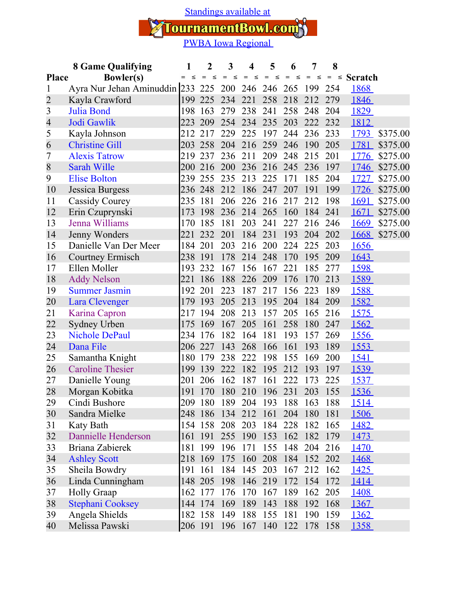[Standings available at](https://tournamentbowl.com/Open/standings_custom.cfm?id_event=8425&id_tournament=2324)

 $\mathbb{Z}/\mathbb{Z}$ 

TournamentBowl.com<sup>3</sup>

|                                  | <b>8 Game Qualifying</b>                         | 1             | $\mathbf{2}$        | 3          | 4                  | 5             | 6                       | 7                 | 8   |               |          |
|----------------------------------|--------------------------------------------------|---------------|---------------------|------------|--------------------|---------------|-------------------------|-------------------|-----|---------------|----------|
| <b>Bowler(s)</b><br><b>Place</b> |                                                  | $\leq$<br>$=$ | $\quad =$<br>$\leq$ | $=$ $\leq$ | $\equiv$<br>$\leq$ | $\leq$<br>$=$ | $=$ $\leq$              | $\,=\,$<br>$\leq$ | $=$ | $\le$ Scratch |          |
| 1                                | Ayra Nur Jehan Aminuddin 233 225 200 246 246 265 |               |                     |            |                    |               |                         | 199               | 254 | 1868          |          |
| 2                                | Kayla Crawford                                   | 199           | 225                 | 234        | 221                | 258           | 218                     | 212               | 279 | 1846          |          |
| 3                                | Julia Bond                                       | 198           | 163                 | 279        | 238                | 241           | 258                     | 248               | 204 | 1829          |          |
| 4                                | Jodi Gawlik                                      | 223           | 209                 | 254        | 234                | 235           | 203                     | 222               | 232 | 1812          |          |
| 5                                | Kayla Johnson                                    | 212           | 217                 | 229        | 225                | 197           | 244                     | 236               | 233 | 1793          | \$375.00 |
| 6                                | <b>Christine Gill</b>                            | 203           | 258                 | 204        | 216                | 259           | 246                     | 190               | 205 | 1781          | \$375.00 |
| 7                                | <b>Alexis Tatrow</b>                             | 219           | 237                 | 236        | 211                | 209           | 248                     | 215               | 201 | 1776          | \$275.00 |
| 8                                | Sarah Wille                                      | 200           | 216                 | 200        | 236                | 216           | 245                     | 236               | 197 | 1746          | \$275.00 |
| 9                                | <b>Elise Bolton</b>                              | 239           | 255                 | 235        | 213                | 225           | 171                     | 185               | 204 | 1727          | \$275.00 |
| 10                               | Jessica Burgess                                  | 236           | 248                 | 212        | 186                | 247           | 207                     | 191               | 199 | 1726          | \$275.00 |
| 11                               | Cassidy Courey                                   | 235           | 181                 | 206        | 226                | 216           | 217                     | 212               | 198 | <u>1691</u>   | \$275.00 |
| 12                               | Erin Czuprynski                                  | 173           | 198                 | 236        | 214                | 265           | 160                     | 184               | 241 | 1671          | \$275.00 |
| 13                               | Jenna Williams                                   | 170           | 185                 | 181        | 203                | 241           | 227                     | 216               | 246 | <u>1669</u>   | \$275.00 |
| 14                               | Jenny Wonders                                    | 221           | 232                 | 201        | 184                | 231           | 193                     | 204               | 202 | 1668          | \$275.00 |
| 15                               | Danielle Van Der Meer                            | 184           | 201                 | 203        | 216                | 200           | 224                     | 225               | 203 | 1656          |          |
| 16                               | <b>Courtney Ermisch</b>                          | 238           | 191                 | 178        | 214                | 248           | 170                     | 195               | 209 | 1643          |          |
| 17                               | Ellen Moller                                     | 193           | 232                 | 167        | 156                | 167           | 221                     | 185               | 277 | 1598          |          |
| 18                               | <b>Addy Nelson</b>                               | 221           | 186                 | 188        | 226                | 209           | 176                     | 170               | 213 | 1589          |          |
| 19                               | <b>Summer Jasmin</b>                             | 192           | 201                 | 223        | 187                | 217           | 156                     | 223               | 189 | 1588          |          |
| 20                               | Lara Clevenger                                   | 179           | 193                 | 205        | 213                | 195           | 204                     | 184               | 209 | 1582          |          |
| 21                               | Karina Capron                                    | 217           | 194                 | 208        | 213                | 157           | 205                     | 165               | 216 | 1575          |          |
| 22                               | Sydney Urben                                     | 175           | 169                 | 167        | 205                | 161           | 258                     | 180               | 247 | 1562          |          |
| 23                               | <b>Nichole DePaul</b>                            | 234           | 176                 | 182        | 164                | 181           | 193                     | 157               | 269 | 1556          |          |
| 24                               | Dana File                                        | 206           | 227                 | 143        | 268                | 166           | 161                     | 193               | 189 | 1553          |          |
| 25                               | Samantha Knight                                  | 180           | 179                 | 238        | 222                | 198           | 155                     | 169               | 200 | 1541          |          |
| 26                               | <b>Caroline Thesier</b>                          | 199           | 139                 | 222        | 182                | 195           | 212                     | 193               | 197 | 1539          |          |
| 27                               | Danielle Young                                   | 201           | 206                 | 162        | 187                | 161           | 222                     | 173               | 225 | <u>1537</u>   |          |
| 28                               | Morgan Kobitka                                   | 191           | 170                 | 180        | 210                | 196           | 231                     | 203               | 155 | 1536          |          |
| 29                               | Cindi Bushore                                    | 209           | 180                 |            |                    |               | 189 204 193 188 163 188 |                   |     | <u>1514</u>   |          |
| 30                               | Sandra Mielke                                    |               | 248 186             | 134        |                    | 212 161       | 204                     | 180               | 181 | 1506          |          |
| 31                               | Katy Bath                                        |               | 154 158             | 208        | 203                | 184           | 228                     | 182               | 165 | <u>1482</u>   |          |
| 32                               | Dannielle Henderson                              | 161           | 191                 | 255        | 190                | 153           | 162                     | 182               | 179 | 1473          |          |
| 33                               | Briana Zabierek                                  | 181           | 199                 | 196        | 171                | 155           | 148                     | 204               | 216 | <u>1470</u>   |          |
| 34                               | <b>Ashley Scott</b>                              |               | 218 169             | 175        | 160                | 208           | 184                     | 152 202           |     | 1468          |          |
| 35                               | Sheila Bowdry                                    | 191           | 161                 | 184        | 145                | 203           | 167                     | 212               | 162 | 1425          |          |
| 36                               | Linda Cunningham                                 |               | 148 205             | 198        | 146                | 219           | 172                     | 154               | 172 | 1414          |          |
| 37                               | <b>Holly Graap</b>                               | 162           | 177                 | 176        | 170                | 167           | 189                     | 162               | 205 | 1408          |          |
| 38                               | Stephani Cooksey                                 |               | 144 174             | 169        | 189                | 143           | 188                     | 192               | 168 | 1367          |          |
| 39                               | Angela Shields                                   |               | 182 158             | 149        | 188                | 155           | 181                     | 190               | 159 | <u>1362</u>   |          |
| 40                               | Melissa Pawski                                   |               | 206 191             | 196        | 167                | 140           | 122                     | 178               | 158 | 1358          |          |